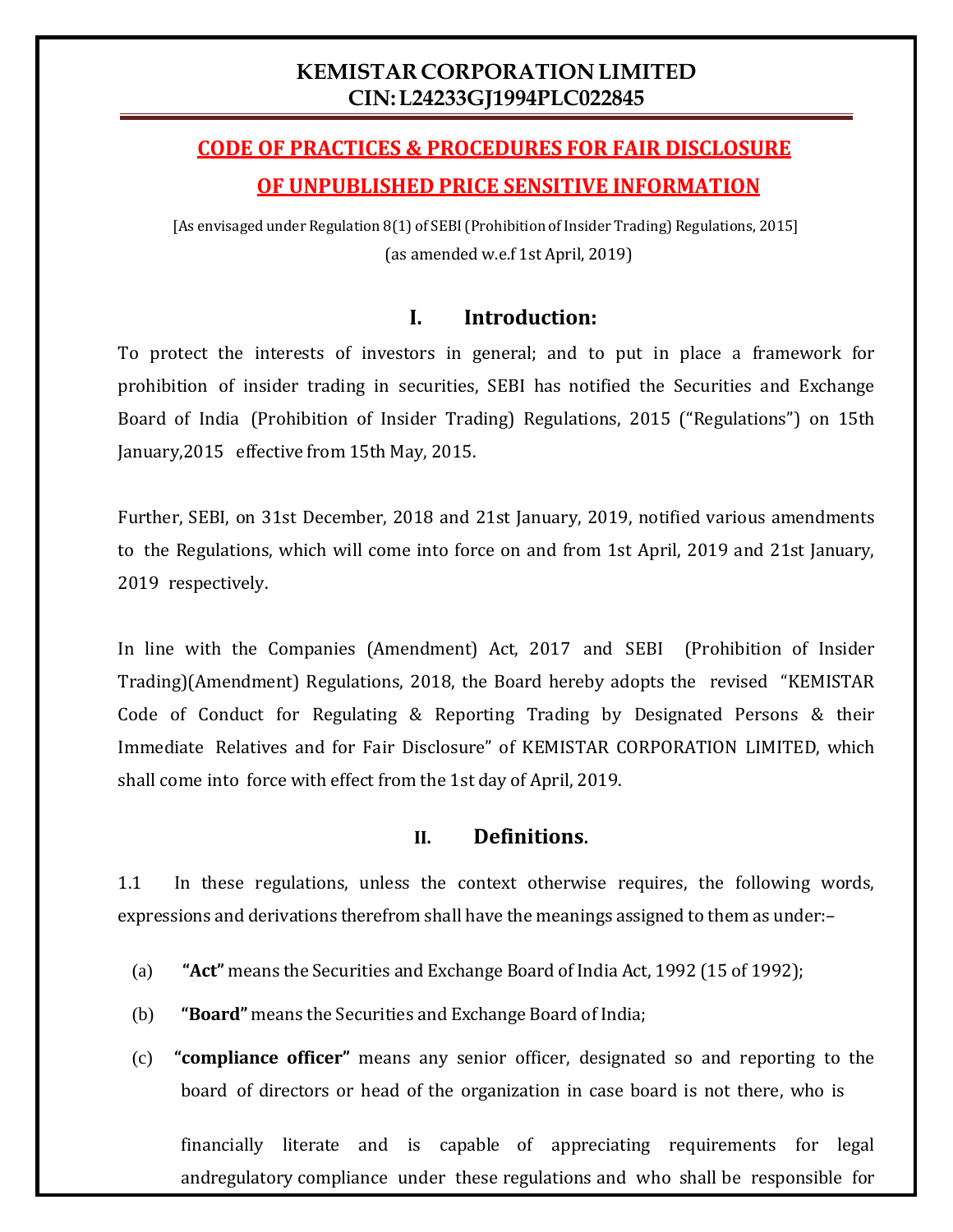# **KEMISTAR CORPORATION LIMITED CIN:L24233GJ1994PLC022845**

# **CODE OF PRACTICES & PROCEDURES FOR FAIR DISCLOSURE OF UNPUBLISHED PRICE SENSITIVE INFORMATION**

[As envisaged under Regulation 8(1) of SEBI(Prohibition of Insider Trading) Regulations, 2015] (as amended w.e.f 1st April, 2019)

# **I. Introduction:**

To protect the interests of investors in general; and to put in place a framework for prohibition of insider trading in securities, SEBI has notified the Securities and Exchange Board of India (Prohibition of Insider Trading) Regulations, 2015 ("Regulations") on 15th January,2015 effective from 15th May, 2015.

Further, SEBI, on 31st December, 2018 and 21st January, 2019, notified various amendments to the Regulations, which will come into force on and from 1st April, 2019 and 21st January, 2019 respectively.

In line with the Companies (Amendment) Act, 2017 and SEBI (Prohibition of Insider Trading)(Amendment) Regulations, 2018, the Board hereby adopts the revised "KEMISTAR Code of Conduct for Regulating & Reporting Trading by Designated Persons & their Immediate Relatives and for Fair Disclosure" of KEMISTAR CORPORATION LIMITED, which shall come into force with effect from the 1st day of April, 2019.

# **II. Definitions.**

1.1 In these regulations, unless the context otherwise requires, the following words, expressions and derivations therefrom shall have the meanings assigned to them as under:–

- (a) **"Act"** means the Securities and Exchange Board of India Act, 1992 (15 of 1992);
- (b) **"Board"** means the Securities and Exchange Board of India;
- (c) **"compliance officer"** means any senior officer, designated so and reporting to the board of directors or head of the organization in case board is not there, who is

financially literate and is capable of appreciating requirements for legal andregulatory compliance under these regulations and who shall be responsible for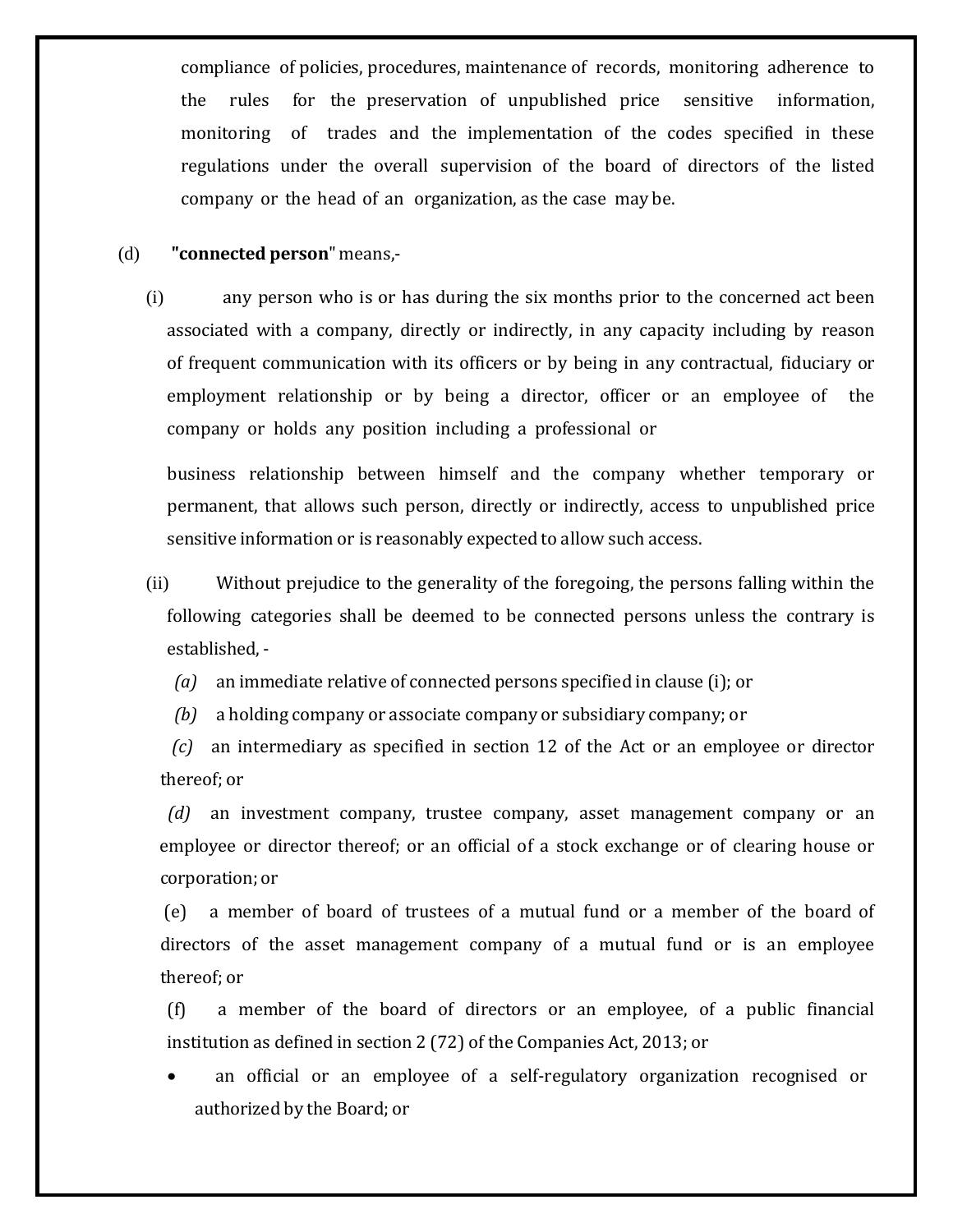compliance of policies, procedures, maintenance of records, monitoring adherence to the rules for the preservation of unpublished price sensitive information, monitoring of trades and the implementation of the codes specified in these regulations under the overall supervision of the board of directors of the listed company or the head of an organization, as the case may be.

## (d) **"connected person**" means,-

(i) any person who is or has during the six months prior to the concerned act been associated with a company, directly or indirectly, in any capacity including by reason of frequent communication with its officers or by being in any contractual, fiduciary or employment relationship or by being a director, officer or an employee of the company or holds any position including a professional or

business relationship between himself and the company whether temporary or permanent, that allows such person, directly or indirectly, access to unpublished price sensitive information or is reasonably expected to allow such access.

(ii) Without prejudice to the generality of the foregoing, the persons falling within the following categories shall be deemed to be connected persons unless the contrary is established, -

*(a)* an immediate relative of connected persons specified in clause (i); or

*(b)* a holding company or associate company or subsidiary company; or

*(c)* an intermediary as specified in section 12 of the Act or an employee or director thereof; or

*(d)* an investment company, trustee company, asset management company or an employee or director thereof; or an official of a stock exchange or of clearing house or corporation; or

(e) a member of board of trustees of a mutual fund or a member of the board of directors of the asset management company of a mutual fund or is an employee thereof; or

(f) a member of the board of directors or an employee, of a public financial institution as defined in section 2 (72) of the Companies Act, 2013; or

• an official or an employee of a self-regulatory organization recognised or authorized by the Board; or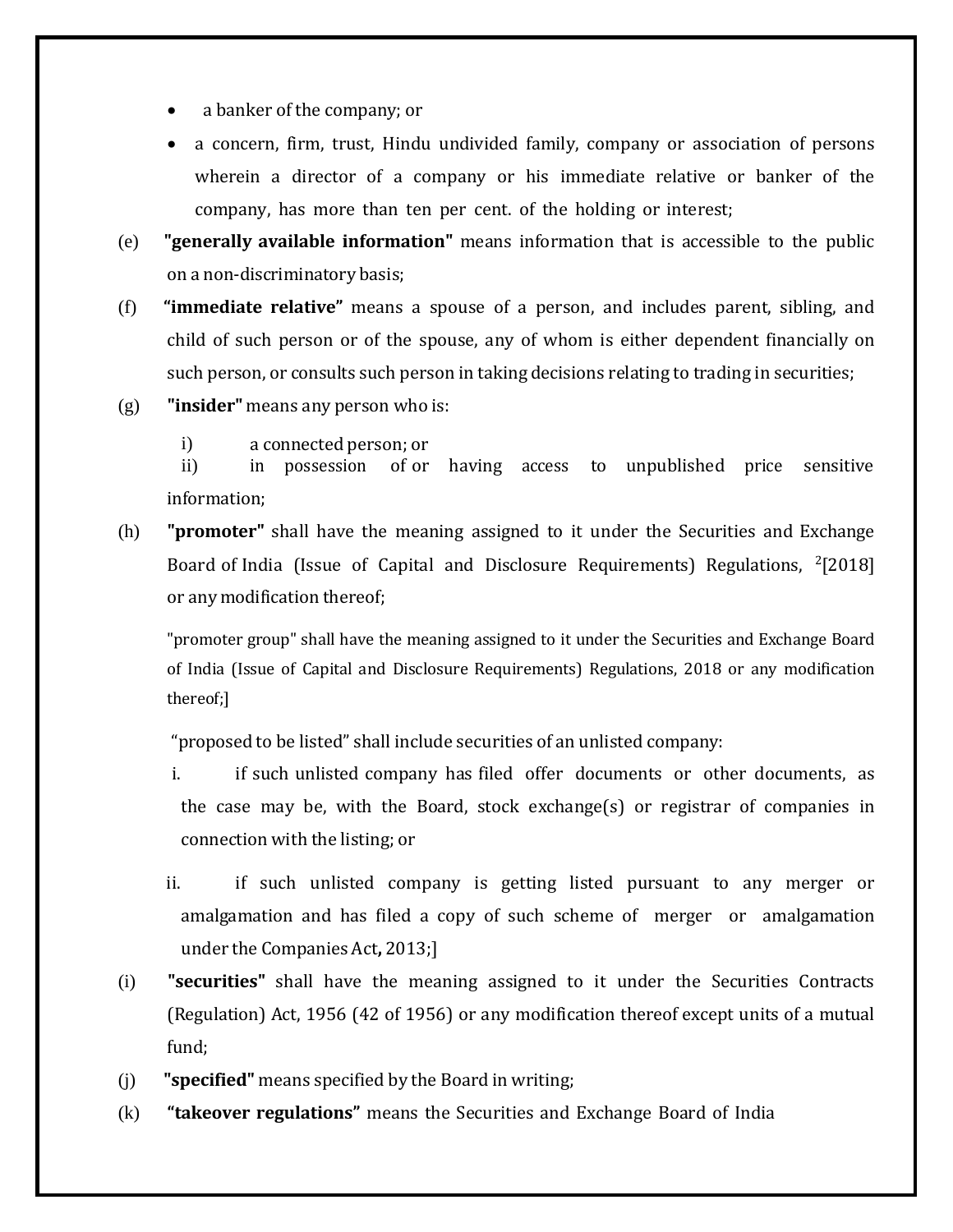- a banker of the company; or
- a concern, firm, trust, Hindu undivided family, company or association of persons wherein a director of a company or his immediate relative or banker of the company, has more than ten per cent. of the holding or interest;
- (e) **"generally available information"** means information that is accessible to the public on a non-discriminatory basis;
- (f) **"immediate relative"** means a spouse of a person, and includes parent, sibling, and child of such person or of the spouse, any of whom is either dependent financially on such person, or consults such person in taking decisions relating to trading in securities;
- (g) **"insider"** means any person who is:
	- i) a connected person; or<br>ii) in possession of or

of or having access to unpublished price sensitive information;

(h) **"promoter"** shall have the meaning assigned to it under the Securities and Exchange Board of India (Issue of Capital and Disclosure Requirements) Regulations,  $\frac{2}{2}$ [2018] or any modification thereof;

"promoter group" shall have the meaning assigned to it under the Securities and Exchange Board of India (Issue of Capital and Disclosure Requirements) Regulations, 2018 or any modification thereof;]

"proposed to be listed" shall include securities of an unlisted company:

- i. if such unlisted company has filed offer documents or other documents, as the case may be, with the Board, stock exchange(s) or registrar of companies in connection with the listing; or
- ii. if such unlisted company is getting listed pursuant to any merger or amalgamation and has filed a copy of such scheme of merger or amalgamation under the Companies Act**,** 2013;]
- (i) **"securities"** shall have the meaning assigned to it under the Securities Contracts (Regulation) Act, 1956 (42 of 1956) or any modification thereof except units of a mutual fund;
- (j) **"specified"** means specified by the Board in writing;
- (k) **"takeover regulations"** means the Securities and Exchange Board of India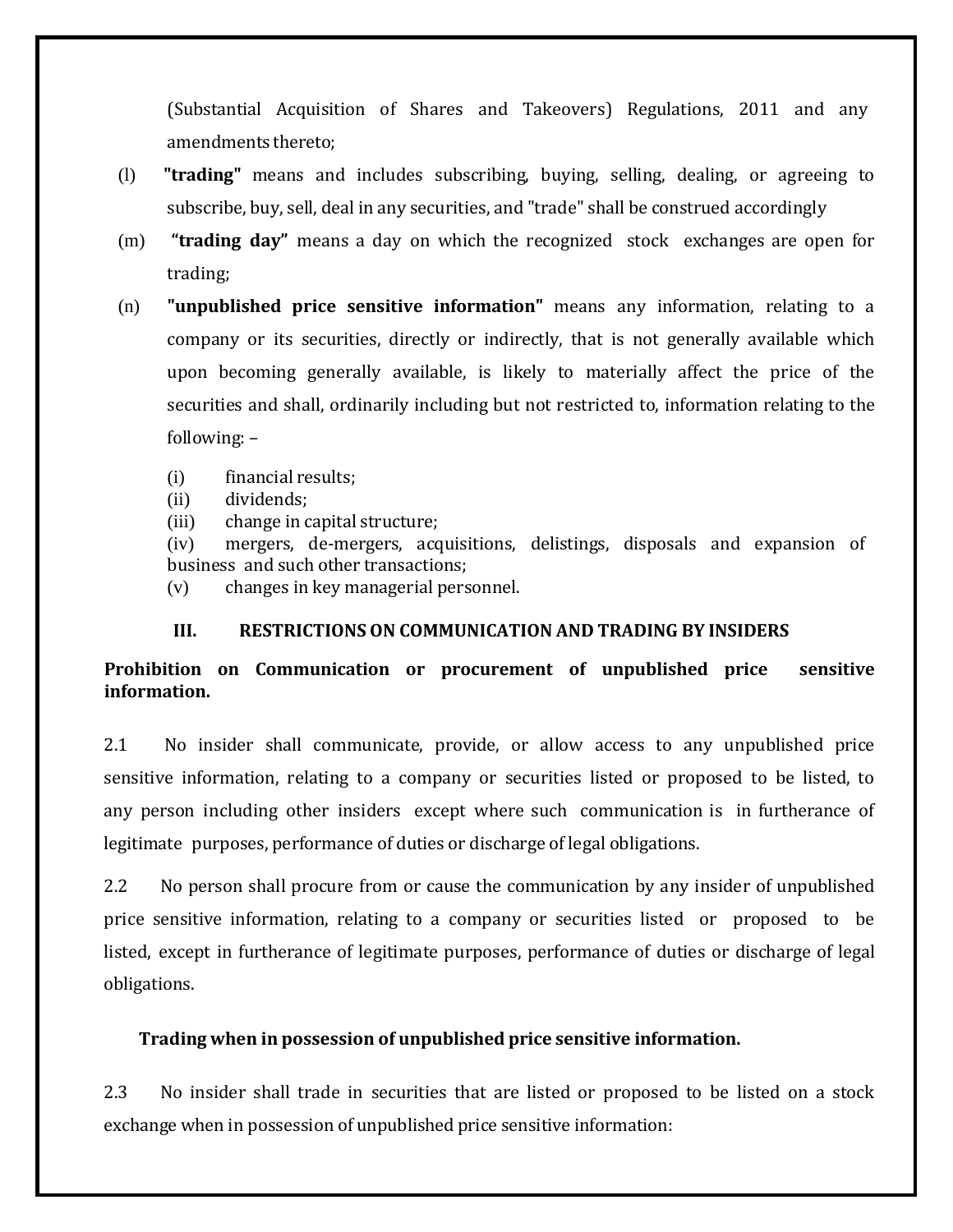(Substantial Acquisition of Shares and Takeovers) Regulations, 2011 and any amendments thereto;

- (l) **"trading"** means and includes subscribing, buying, selling, dealing, or agreeing to subscribe, buy, sell, deal in any securities, and "trade" shall be construed accordingly
- (m) **"trading day"** means a day on which the recognized stock exchanges are open for trading;
- (n) **"unpublished price sensitive information"** means any information, relating to a company or its securities, directly or indirectly, that is not generally available which upon becoming generally available, is likely to materially affect the price of the securities and shall, ordinarily including but not restricted to, information relating to the following: –
	- (i) financial results;<br>(ii) dividends;
	- (ii) dividends;<br>(iii) change in c
	- (iii) change in capital structure;<br>(iv) mergers, de-mergers, acq

mergers, de-mergers, acquisitions, delistings, disposals and expansion of business and such other transactions;

(v) changes in key managerial personnel.

## **III. RESTRICTIONS ON COMMUNICATION AND TRADING BY INSIDERS**

# **Prohibition on Communication or procurement of unpublished price sensitive information.**

2.1 No insider shall communicate, provide, or allow access to any unpublished price sensitive information, relating to a company or securities listed or proposed to be listed, to any person including other insiders except where such communication is in furtherance of legitimate purposes, performance of duties or discharge of legal obligations.

2.2 No person shall procure from or cause the communication by any insider of unpublished price sensitive information, relating to a company or securities listed or proposed to be listed, except in furtherance of legitimate purposes, performance of duties or discharge of legal obligations.

## **Trading when in possession of unpublished price sensitive information.**

2.3 No insider shall trade in securities that are listed or proposed to be listed on a stock exchange when in possession of unpublished price sensitive information: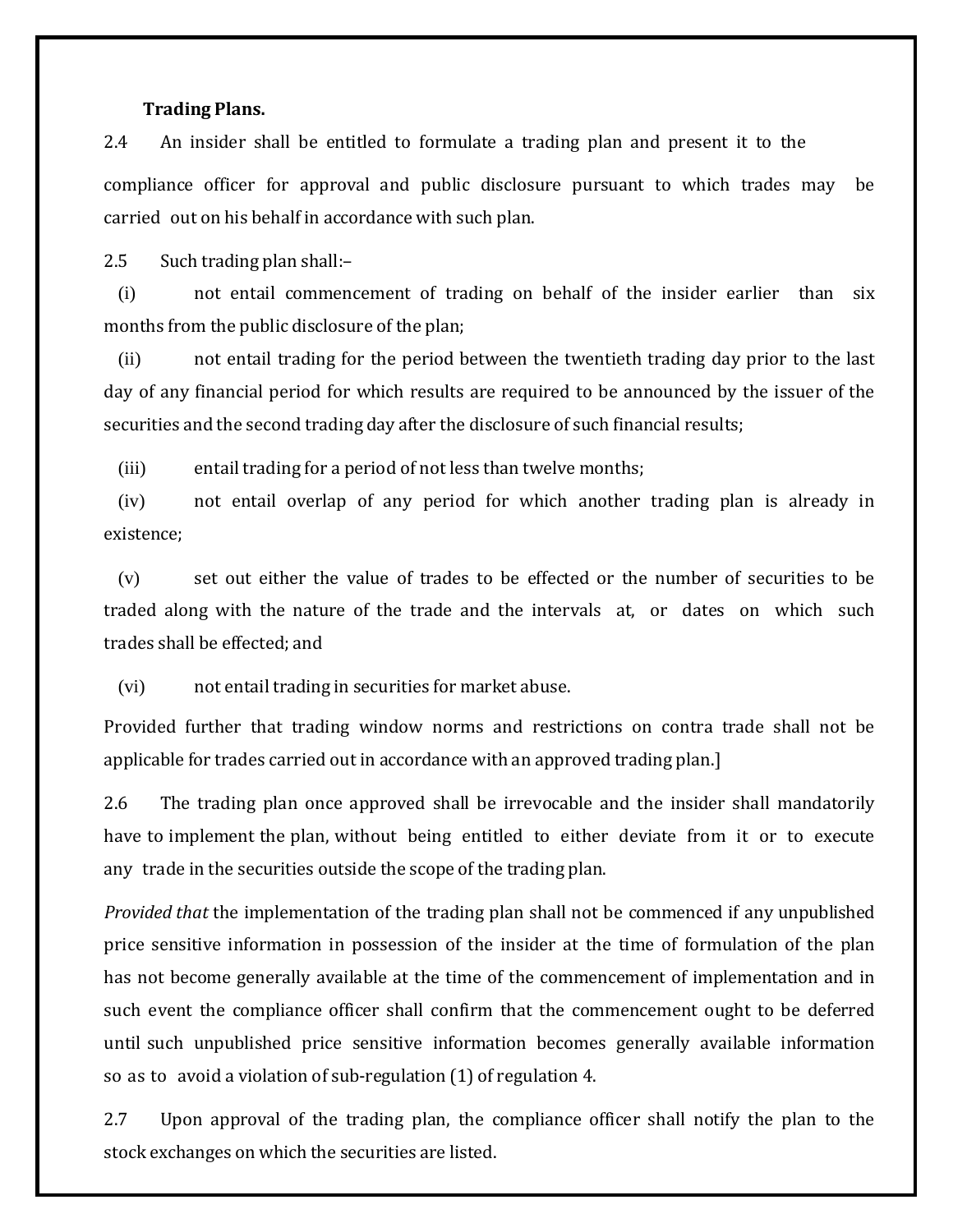#### **Trading Plans.**

2.4 An insider shall be entitled to formulate a trading plan and present it to the compliance officer for approval and public disclosure pursuant to which trades may be carried out on his behalf in accordance with such plan.

2.5 Such trading plan shall:–

(i) not entail commencement of trading on behalf of the insider earlier than six months from the public disclosure of the plan;

(ii) not entail trading for the period between the twentieth trading day prior to the last day of any financial period for which results are required to be announced by the issuer of the securities and the second trading day after the disclosure of such financial results;

(iii) entail trading for a period of not less than twelve months;

(iv) not entail overlap of any period for which another trading plan is already in existence;

(v) set out either the value of trades to be effected or the number of securities to be traded along with the nature of the trade and the intervals at, or dates on which such trades shall be effected; and

(vi) not entail trading in securities for market abuse.

Provided further that trading window norms and restrictions on contra trade shall not be applicable for trades carried out in accordance with an approved trading plan.]

2.6 The trading plan once approved shall be irrevocable and the insider shall mandatorily have to implement the plan, without being entitled to either deviate from it or to execute any trade in the securities outside the scope of the trading plan.

*Provided that* the implementation of the trading plan shall not be commenced if any unpublished price sensitive information in possession of the insider at the time of formulation of the plan has not become generally available at the time of the commencement of implementation and in such event the compliance officer shall confirm that the commencement ought to be deferred until such unpublished price sensitive information becomes generally available information so as to avoid a violation of sub-regulation (1) of regulation 4.

2.7 Upon approval of the trading plan, the compliance officer shall notify the plan to the stock exchanges on which the securities are listed.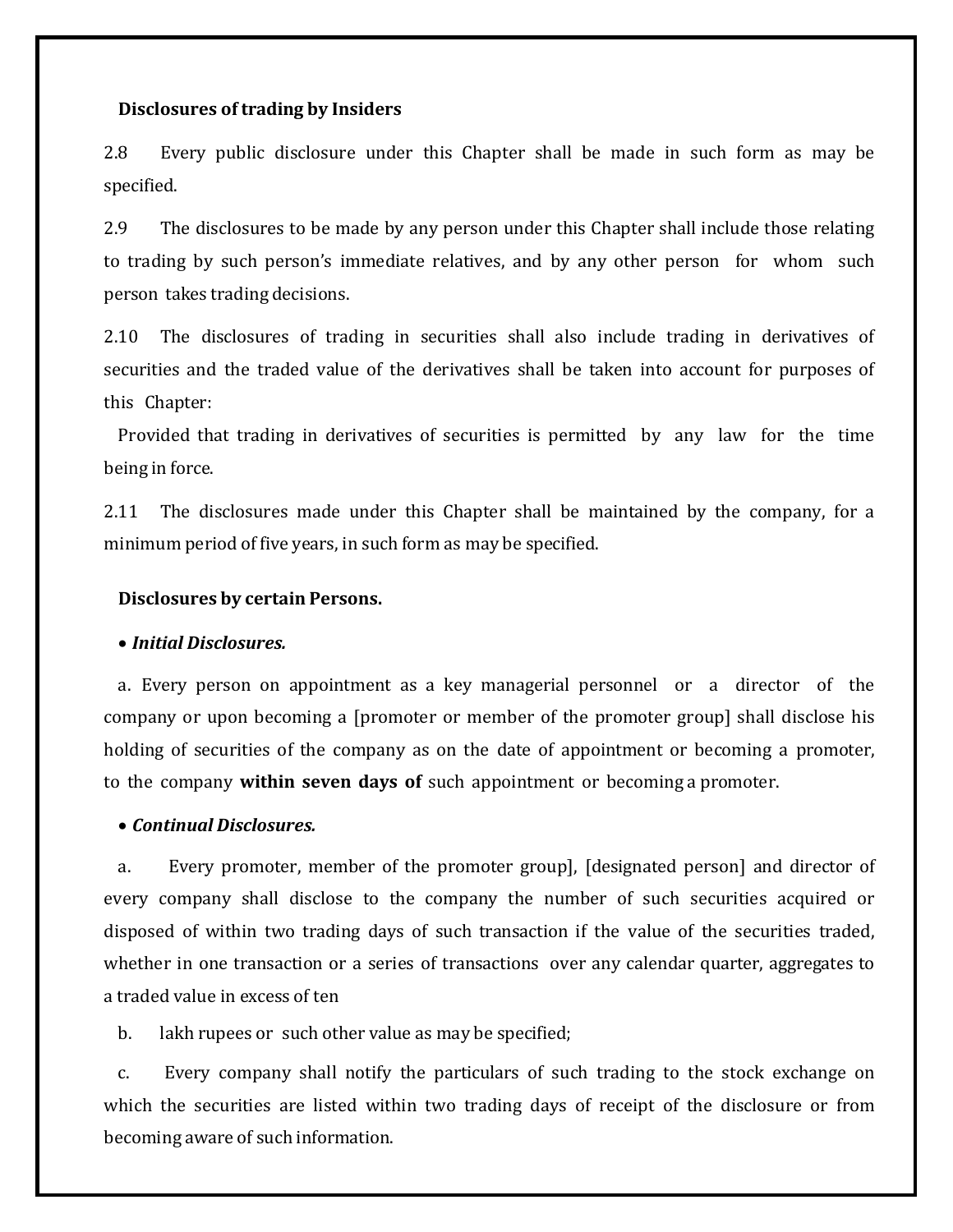#### **Disclosures of trading by Insiders**

2.8 Every public disclosure under this Chapter shall be made in such form as may be specified.

2.9 The disclosures to be made by any person under this Chapter shall include those relating to trading by such person's immediate relatives, and by any other person for whom such person takes trading decisions.

2.10 The disclosures of trading in securities shall also include trading in derivatives of securities and the traded value of the derivatives shall be taken into account for purposes of this Chapter:

Provided that trading in derivatives of securities is permitted by any law for the time being in force.

2.11 The disclosures made under this Chapter shall be maintained by the company, for a minimum period of five years, in such form as may be specified.

## **Disclosures by certain Persons.**

#### • *Initial Disclosures.*

a. Every person on appointment as a key managerial personnel or a director of the company or upon becoming a [promoter or member of the promoter group] shall disclose his holding of securities of the company as on the date of appointment or becoming a promoter, to the company **within seven days of** such appointment or becoming a promoter.

### • *Continual Disclosures.*

a. Every promoter, member of the promoter group], [designated person] and director of every company shall disclose to the company the number of such securities acquired or disposed of within two trading days of such transaction if the value of the securities traded, whether in one transaction or a series of transactions over any calendar quarter, aggregates to a traded value in excess of ten

b. lakh rupees or such other value as may be specified;

c. Every company shall notify the particulars of such trading to the stock exchange on which the securities are listed within two trading days of receipt of the disclosure or from becoming aware of such information.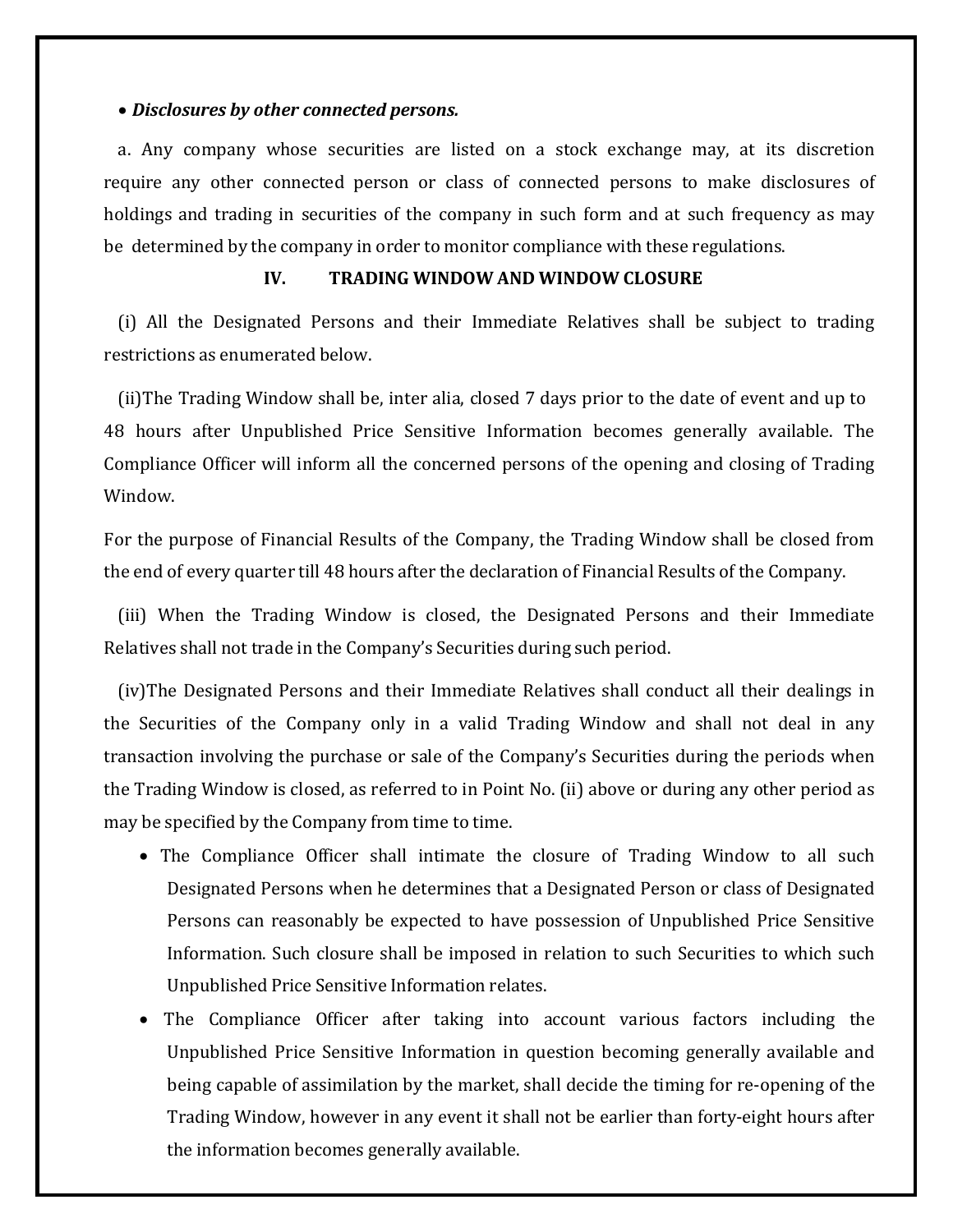#### • *Disclosures by other connected persons.*

a. Any company whose securities are listed on a stock exchange may, at its discretion require any other connected person or class of connected persons to make disclosures of holdings and trading in securities of the company in such form and at such frequency as may be determined by the company in order to monitor compliance with these regulations.

## **IV. TRADING WINDOW AND WINDOW CLOSURE**

(i) All the Designated Persons and their Immediate Relatives shall be subject to trading restrictions as enumerated below.

(ii)The Trading Window shall be, inter alia, closed 7 days prior to the date of event and up to 48 hours after Unpublished Price Sensitive Information becomes generally available. The Compliance Officer will inform all the concerned persons of the opening and closing of Trading Window.

For the purpose of Financial Results of the Company, the Trading Window shall be closed from the end of every quarter till 48 hours after the declaration of Financial Results of the Company.

(iii) When the Trading Window is closed, the Designated Persons and their Immediate Relatives shall not trade in the Company's Securities during such period.

(iv)The Designated Persons and their Immediate Relatives shall conduct all their dealings in the Securities of the Company only in a valid Trading Window and shall not deal in any transaction involving the purchase or sale of the Company's Securities during the periods when the Trading Window is closed, as referred to in Point No. (ii) above or during any other period as may be specified by the Company from time to time.

- The Compliance Officer shall intimate the closure of Trading Window to all such Designated Persons when he determines that a Designated Person or class of Designated Persons can reasonably be expected to have possession of Unpublished Price Sensitive Information. Such closure shall be imposed in relation to such Securities to which such Unpublished Price Sensitive Information relates.
- The Compliance Officer after taking into account various factors including the Unpublished Price Sensitive Information in question becoming generally available and being capable of assimilation by the market, shall decide the timing for re-opening of the Trading Window, however in any event it shall not be earlier than forty-eight hours after the information becomes generally available.